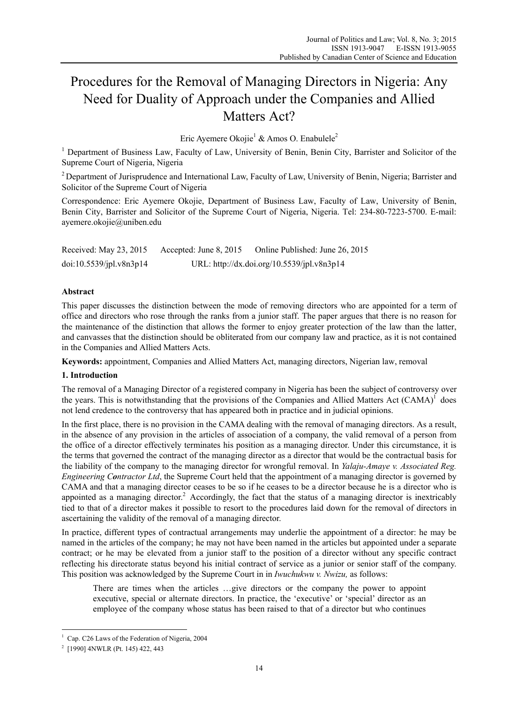# Procedures for the Removal of Managing Directors in Nigeria: Any Need for Duality of Approach under the Companies and Allied Matters Act?

Eric Ayemere Okojie<sup>1</sup> & Amos O. Enabulele<sup>2</sup>

<sup>1</sup> Department of Business Law, Faculty of Law, University of Benin, Benin City, Barrister and Solicitor of the Supreme Court of Nigeria, Nigeria

<sup>2</sup> Department of Jurisprudence and International Law, Faculty of Law, University of Benin, Nigeria; Barrister and Solicitor of the Supreme Court of Nigeria

Correspondence: Eric Ayemere Okojie, Department of Business Law, Faculty of Law, University of Benin, Benin City, Barrister and Solicitor of the Supreme Court of Nigeria, Nigeria. Tel: 234-80-7223-5700. E-mail: ayemere.okojie@uniben.edu

| Received: May 23, 2015  | Accepted: June 8, 2015                     | Online Published: June 26, 2015 |
|-------------------------|--------------------------------------------|---------------------------------|
| doi:10.5539/ipl.v8n3p14 | URL: http://dx.doi.org/10.5539/jpl.v8n3p14 |                                 |

# **Abstract**

This paper discusses the distinction between the mode of removing directors who are appointed for a term of office and directors who rose through the ranks from a junior staff. The paper argues that there is no reason for the maintenance of the distinction that allows the former to enjoy greater protection of the law than the latter, and canvasses that the distinction should be obliterated from our company law and practice, as it is not contained in the Companies and Allied Matters Acts.

**Keywords:** appointment, Companies and Allied Matters Act, managing directors, Nigerian law, removal

## **1. Introduction**

The removal of a Managing Director of a registered company in Nigeria has been the subject of controversy over the years. This is notwithstanding that the provisions of the Companies and Allied Matters Act  $(CAMA)^{1}$  does not lend credence to the controversy that has appeared both in practice and in judicial opinions.

In the first place, there is no provision in the CAMA dealing with the removal of managing directors. As a result, in the absence of any provision in the articles of association of a company, the valid removal of a person from the office of a director effectively terminates his position as a managing director. Under this circumstance, it is the terms that governed the contract of the managing director as a director that would be the contractual basis for the liability of the company to the managing director for wrongful removal. In *Yalaju-Amaye v. Associated Reg. Engineering Contractor Ltd*, the Supreme Court held that the appointment of a managing director is governed by CAMA and that a managing director ceases to be so if he ceases to be a director because he is a director who is appointed as a managing director.<sup>2</sup> Accordingly, the fact that the status of a managing director is inextricably tied to that of a director makes it possible to resort to the procedures laid down for the removal of directors in ascertaining the validity of the removal of a managing director.

In practice, different types of contractual arrangements may underlie the appointment of a director: he may be named in the articles of the company; he may not have been named in the articles but appointed under a separate contract; or he may be elevated from a junior staff to the position of a director without any specific contract reflecting his directorate status beyond his initial contract of service as a junior or senior staff of the company. This position was acknowledged by the Supreme Court in in *Iwuchukwu v. Nwizu,* as follows:

There are times when the articles …give directors or the company the power to appoint executive, special or alternate directors. In practice, the 'executive' or 'special' director as an employee of the company whose status has been raised to that of a director but who continues

<sup>&</sup>lt;sup>1</sup> Cap. C26 Laws of the Federation of Nigeria, 2004

<sup>2</sup> [1990] 4NWLR (Pt. 145) 422, 443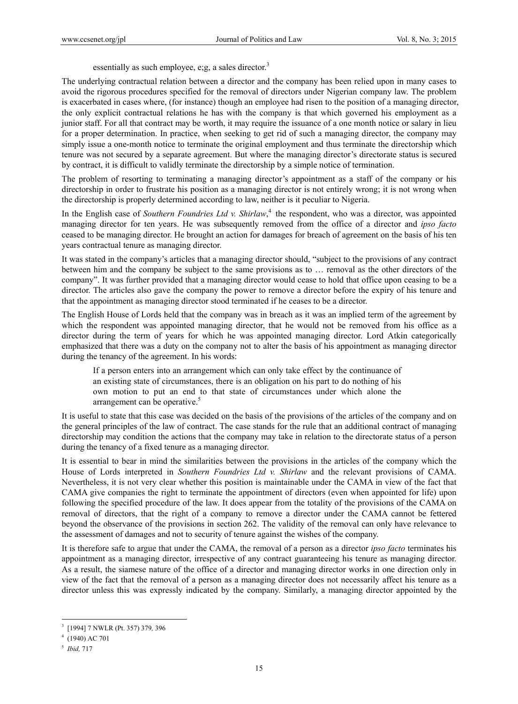essentially as such employee, e;g, a sales director.<sup>3</sup>

The underlying contractual relation between a director and the company has been relied upon in many cases to avoid the rigorous procedures specified for the removal of directors under Nigerian company law. The problem is exacerbated in cases where, (for instance) though an employee had risen to the position of a managing director, the only explicit contractual relations he has with the company is that which governed his employment as a junior staff. For all that contract may be worth, it may require the issuance of a one month notice or salary in lieu for a proper determination. In practice, when seeking to get rid of such a managing director, the company may simply issue a one-month notice to terminate the original employment and thus terminate the directorship which tenure was not secured by a separate agreement. But where the managing director's directorate status is secured by contract, it is difficult to validly terminate the directorship by a simple notice of termination.

The problem of resorting to terminating a managing director's appointment as a staff of the company or his directorship in order to frustrate his position as a managing director is not entirely wrong; it is not wrong when the directorship is properly determined according to law, neither is it peculiar to Nigeria.

In the English case of *Southern Foundries Ltd v. Shirlaw*,<sup>4</sup> the respondent, who was a director, was appointed managing director for ten years. He was subsequently removed from the office of a director and *ipso facto* ceased to be managing director. He brought an action for damages for breach of agreement on the basis of his ten years contractual tenure as managing director.

It was stated in the company's articles that a managing director should, "subject to the provisions of any contract between him and the company be subject to the same provisions as to … removal as the other directors of the company". It was further provided that a managing director would cease to hold that office upon ceasing to be a director. The articles also gave the company the power to remove a director before the expiry of his tenure and that the appointment as managing director stood terminated if he ceases to be a director.

The English House of Lords held that the company was in breach as it was an implied term of the agreement by which the respondent was appointed managing director, that he would not be removed from his office as a director during the term of years for which he was appointed managing director. Lord Atkin categorically emphasized that there was a duty on the company not to alter the basis of his appointment as managing director during the tenancy of the agreement. In his words:

If a person enters into an arrangement which can only take effect by the continuance of an existing state of circumstances, there is an obligation on his part to do nothing of his own motion to put an end to that state of circumstances under which alone the arrangement can be operative.<sup>5</sup>

It is useful to state that this case was decided on the basis of the provisions of the articles of the company and on the general principles of the law of contract. The case stands for the rule that an additional contract of managing directorship may condition the actions that the company may take in relation to the directorate status of a person during the tenancy of a fixed tenure as a managing director.

It is essential to bear in mind the similarities between the provisions in the articles of the company which the House of Lords interpreted in *Southern Foundries Ltd v. Shirlaw* and the relevant provisions of CAMA. Nevertheless, it is not very clear whether this position is maintainable under the CAMA in view of the fact that CAMA give companies the right to terminate the appointment of directors (even when appointed for life) upon following the specified procedure of the law. It does appear from the totality of the provisions of the CAMA on removal of directors, that the right of a company to remove a director under the CAMA cannot be fettered beyond the observance of the provisions in section 262. The validity of the removal can only have relevance to the assessment of damages and not to security of tenure against the wishes of the company.

It is therefore safe to argue that under the CAMA, the removal of a person as a director *ipso facto* terminates his appointment as a managing director, irrespective of any contract guaranteeing his tenure as managing director. As a result, the siamese nature of the office of a director and managing director works in one direction only in view of the fact that the removal of a person as a managing director does not necessarily affect his tenure as a director unless this was expressly indicated by the company. Similarly, a managing director appointed by the

<sup>3</sup> [1994] 7 NWLR (Pt. 357) 379*,* 396

<sup>4</sup> (1940) AC 701

<sup>5</sup> *Ibid,* 717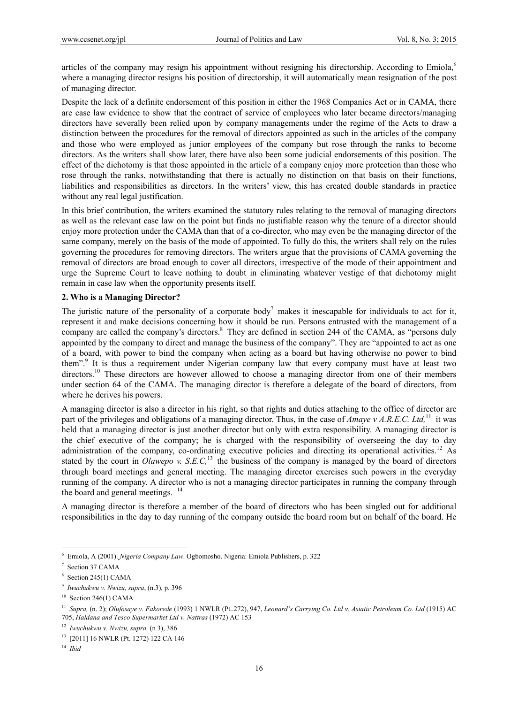articles of the company may resign his appointment without resigning his directorship. According to Emiola,<sup>6</sup> where a managing director resigns his position of directorship, it will automatically mean resignation of the post of managing director.

Despite the lack of a definite endorsement of this position in either the 1968 Companies Act or in CAMA, there are case law evidence to show that the contract of service of employees who later became directors/managing directors have severally been relied upon by company managements under the regime of the Acts to draw a distinction between the procedures for the removal of directors appointed as such in the articles of the company and those who were employed as junior employees of the company but rose through the ranks to become directors. As the writers shall show later, there have also been some judicial endorsements of this position. The effect of the dichotomy is that those appointed in the article of a company enjoy more protection than those who rose through the ranks, notwithstanding that there is actually no distinction on that basis on their functions, liabilities and responsibilities as directors. In the writers' view, this has created double standards in practice without any real legal justification.

In this brief contribution, the writers examined the statutory rules relating to the removal of managing directors as well as the relevant case law on the point but finds no justifiable reason why the tenure of a director should enjoy more protection under the CAMA than that of a co-director, who may even be the managing director of the same company, merely on the basis of the mode of appointed. To fully do this, the writers shall rely on the rules governing the procedures for removing directors. The writers argue that the provisions of CAMA governing the removal of directors are broad enough to cover all directors, irrespective of the mode of their appointment and urge the Supreme Court to leave nothing to doubt in eliminating whatever vestige of that dichotomy might remain in case law when the opportunity presents itself.

# **2. Who is a Managing Director?**

The juristic nature of the personality of a corporate body<sup>7</sup> makes it inescapable for individuals to act for it, represent it and make decisions concerning how it should be run. Persons entrusted with the management of a company are called the company's directors.<sup>8</sup> They are defined in section 244 of the CAMA, as "persons duly appointed by the company to direct and manage the business of the company". They are "appointed to act as one of a board, with power to bind the company when acting as a board but having otherwise no power to bind them".<sup>9</sup> It is thus a requirement under Nigerian company law that every company must have at least two directors.<sup>10</sup> These directors are however allowed to choose a managing director from one of their members under section 64 of the CAMA. The managing director is therefore a delegate of the board of directors, from where he derives his powers.

A managing director is also a director in his right, so that rights and duties attaching to the office of director are part of the privileges and obligations of a managing director. Thus, in the case of *Amaye v A.R.E.C. Ltd,*11 it was held that a managing director is just another director but only with extra responsibility. A managing director is the chief executive of the company; he is charged with the responsibility of overseeing the day to day administration of the company, co-ordinating executive policies and directing its operational activities.<sup>12</sup> As stated by the court in *Olawepo v. S.E.C*,<sup>13</sup> the business of the company is managed by the board of directors through board meetings and general meeting. The managing director exercises such powers in the everyday running of the company. A director who is not a managing director participates in running the company through the board and general meetings. <sup>14</sup>

A managing director is therefore a member of the board of directors who has been singled out for additional responsibilities in the day to day running of the company outside the board room but on behalf of the board. He

<sup>6</sup> Emiola, A (2001). *Nigeria Company Law*. Ogbomosho. Nigeria: Emiola Publishers, p. 322

<sup>7</sup> Section 37 CAMA

<sup>8</sup> Section 245(1) CAMA

<sup>9</sup> *Iwuchukwu v. Nwizu, supra*, (n.3), p. 396

 $10$  Section 246(1) CAMA

<sup>11</sup> *Supra,* (n. 2); *Olufosaye v. Fakorede* (1993) 1 NWLR (Pt..272), 947, *Leonard's Carrying Co. Ltd v. Asiatic Petroleum Co. Ltd* (1915) AC 705, *Haldana and Tesco Supermarket Ltd v. Nattras* (1972) AC 153

<sup>12</sup> *Iwuchukwu v. Nwizu, supra,* (n 3), 386

<sup>13 [2011] 16</sup> NWLR (Pt. 1272) 122 CA 146

<sup>14</sup> *Ibid*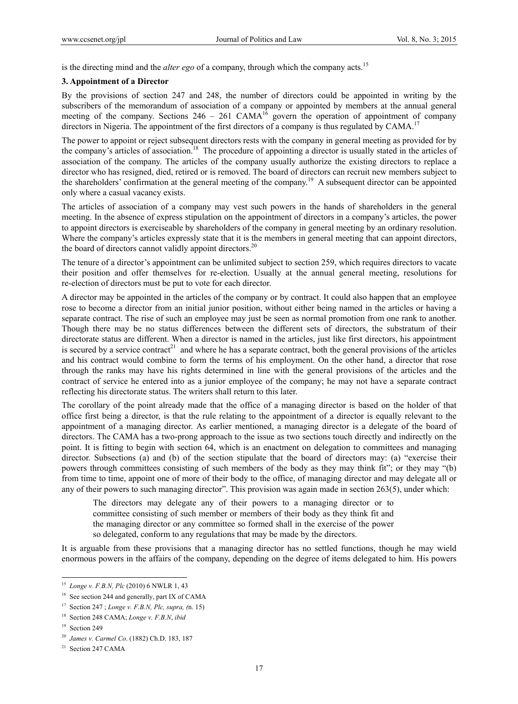is the directing mind and the *alter ego* of a company, through which the company acts.15

#### **3. Appointment of a Director**

By the provisions of section 247 and 248, the number of directors could be appointed in writing by the subscribers of the memorandum of association of a company or appointed by members at the annual general meeting of the company. Sections  $246 - 261$  CAMA<sup>16</sup> govern the operation of appointment of company directors in Nigeria. The appointment of the first directors of a company is thus regulated by CAMA.<sup>17</sup>

The power to appoint or reject subsequent directors rests with the company in general meeting as provided for by the company's articles of association.<sup>18</sup> The procedure of appointing a director is usually stated in the articles of association of the company. The articles of the company usually authorize the existing directors to replace a director who has resigned, died, retired or is removed. The board of directors can recruit new members subject to the shareholders' confirmation at the general meeting of the company.<sup>19</sup> A subsequent director can be appointed only where a casual vacancy exists.

The articles of association of a company may vest such powers in the hands of shareholders in the general meeting. In the absence of express stipulation on the appointment of directors in a company's articles, the power to appoint directors is exerciseable by shareholders of the company in general meeting by an ordinary resolution. Where the company's articles expressly state that it is the members in general meeting that can appoint directors, the board of directors cannot validly appoint directors.<sup>20</sup>

The tenure of a director's appointment can be unlimited subject to section 259, which requires directors to vacate their position and offer themselves for re-election. Usually at the annual general meeting, resolutions for re-election of directors must be put to vote for each director.

A director may be appointed in the articles of the company or by contract. It could also happen that an employee rose to become a director from an initial junior position, without either being named in the articles or having a separate contract. The rise of such an employee may just be seen as normal promotion from one rank to another. Though there may be no status differences between the different sets of directors, the substratum of their directorate status are different. When a director is named in the articles, just like first directors, his appointment is secured by a service contract<sup>21</sup> and where he has a separate contract, both the general provisions of the articles and his contract would combine to form the terms of his employment. On the other hand, a director that rose through the ranks may have his rights determined in line with the general provisions of the articles and the contract of service he entered into as a junior employee of the company; he may not have a separate contract reflecting his directorate status. The writers shall return to this later.

The corollary of the point already made that the office of a managing director is based on the holder of that office first being a director, is that the rule relating to the appointment of a director is equally relevant to the appointment of a managing director. As earlier mentioned, a managing director is a delegate of the board of directors. The CAMA has a two-prong approach to the issue as two sections touch directly and indirectly on the point. It is fitting to begin with section 64, which is an enactment on delegation to committees and managing director. Subsections (a) and (b) of the section stipulate that the board of directors may: (a) "exercise their powers through committees consisting of such members of the body as they may think fit"; or they may "(b) from time to time, appoint one of more of their body to the office, of managing director and may delegate all or any of their powers to such managing director". This provision was again made in section 263(5), under which:

The directors may delegate any of their powers to a managing director or to committee consisting of such member or members of their body as they think fit and the managing director or any committee so formed shall in the exercise of the power so delegated, conform to any regulations that may be made by the directors.

It is arguable from these provisions that a managing director has no settled functions, though he may wield enormous powers in the affairs of the company, depending on the degree of items delegated to him. His powers

<sup>15</sup> *Longe v. F.B.N, Plc* (2010) 6 NWLR 1, 43

<sup>&</sup>lt;sup>16</sup> See section 244 and generally, part IX of CAMA

<sup>17</sup> Section 247 ; *Longe v. F.B.N, Plc, supra, (*n. 15)

<sup>18</sup> Section 248 CAMA; *Longe v. F.B.N*, *ibid*

<sup>&</sup>lt;sup>19</sup> Section 249

<sup>20</sup> *James v. Carmel Co*. (1882) Ch.D. 183, 187

<sup>&</sup>lt;sup>21</sup> Section 247 CAMA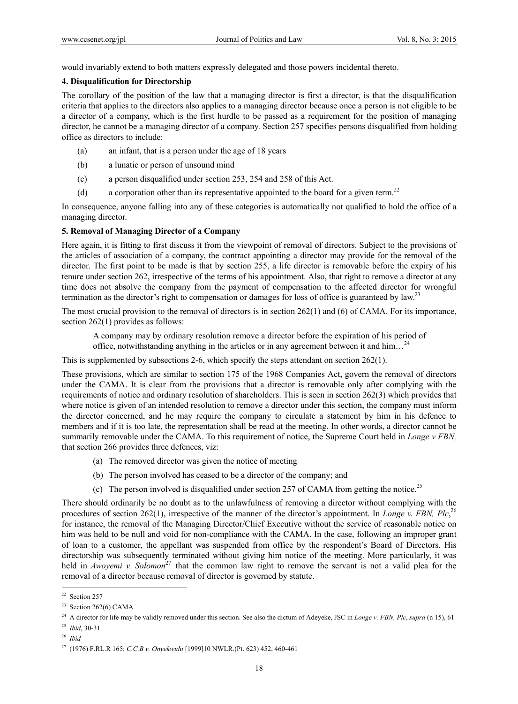would invariably extend to both matters expressly delegated and those powers incidental thereto.

### **4. Disqualification for Directorship**

The corollary of the position of the law that a managing director is first a director, is that the disqualification criteria that applies to the directors also applies to a managing director because once a person is not eligible to be a director of a company, which is the first hurdle to be passed as a requirement for the position of managing director, he cannot be a managing director of a company. Section 257 specifies persons disqualified from holding office as directors to include:

- (a) an infant, that is a person under the age of 18 years
- (b) a lunatic or person of unsound mind
- (c) a person disqualified under section 253, 254 and 258 of this Act.
- (d) a corporation other than its representative appointed to the board for a given term.22

In consequence, anyone falling into any of these categories is automatically not qualified to hold the office of a managing director.

# **5. Removal of Managing Director of a Company**

Here again, it is fitting to first discuss it from the viewpoint of removal of directors. Subject to the provisions of the articles of association of a company, the contract appointing a director may provide for the removal of the director. The first point to be made is that by section 255, a life director is removable before the expiry of his tenure under section 262, irrespective of the terms of his appointment. Also, that right to remove a director at any time does not absolve the company from the payment of compensation to the affected director for wrongful termination as the director's right to compensation or damages for loss of office is guaranteed by law.<sup>23</sup>

The most crucial provision to the removal of directors is in section 262(1) and (6) of CAMA. For its importance, section 262(1) provides as follows:

A company may by ordinary resolution remove a director before the expiration of his period of office, notwithstanding anything in the articles or in any agreement between it and him…24

This is supplemented by subsections 2-6, which specify the steps attendant on section 262(1).

These provisions, which are similar to section 175 of the 1968 Companies Act, govern the removal of directors under the CAMA. It is clear from the provisions that a director is removable only after complying with the requirements of notice and ordinary resolution of shareholders. This is seen in section 262(3) which provides that where notice is given of an intended resolution to remove a director under this section, the company must inform the director concerned, and he may require the company to circulate a statement by him in his defence to members and if it is too late, the representation shall be read at the meeting. In other words, a director cannot be summarily removable under the CAMA. To this requirement of notice, the Supreme Court held in *Longe v FBN,*  that section 266 provides three defences, viz:

- (a) The removed director was given the notice of meeting
- (b) The person involved has ceased to be a director of the company; and
- (c) The person involved is disqualified under section 257 of CAMA from getting the notice.<sup>25</sup>

There should ordinarily be no doubt as to the unlawfulness of removing a director without complying with the procedures of section 262(1), irrespective of the manner of the director's appointment. In *Longe v. FBN, Plc*,<sup>26</sup> for instance, the removal of the Managing Director/Chief Executive without the service of reasonable notice on him was held to be null and void for non-compliance with the CAMA. In the case, following an improper grant of loan to a customer, the appellant was suspended from office by the respondent's Board of Directors. His directorship was subsequently terminated without giving him notice of the meeting. More particularly, it was held in *Awoyemi v. Solomon*<sup>27</sup> that the common law right to remove the servant is not a valid plea for the removal of a director because removal of director is governed by statute.

<sup>25</sup> *Ibid*, 30-31

<sup>&</sup>lt;sup>22</sup> Section 257

<sup>&</sup>lt;sup>23</sup> Section 262(6) CAMA

<sup>24</sup> A director for life may be validly removed under this section. See also the dictum of Adeyeke, JSC in *Longe v. FBN, Plc*, *supra* (n 15), 61

<sup>26</sup> *Ibid* 

<sup>27 (1976)</sup> F.RL.R 165; *C.C.B v. Onyekwulu* [1999]10 NWLR.(Pt. 623) 452, 460-461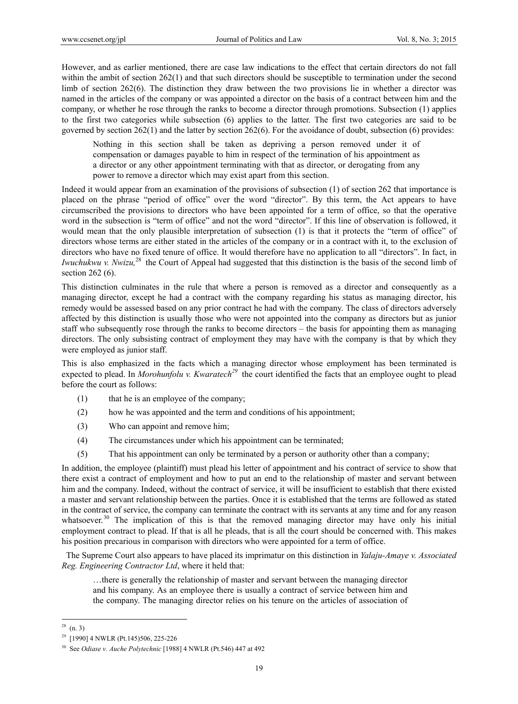However, and as earlier mentioned, there are case law indications to the effect that certain directors do not fall within the ambit of section 262(1) and that such directors should be susceptible to termination under the second limb of section 262(6). The distinction they draw between the two provisions lie in whether a director was named in the articles of the company or was appointed a director on the basis of a contract between him and the company, or whether he rose through the ranks to become a director through promotions. Subsection (1) applies to the first two categories while subsection (6) applies to the latter. The first two categories are said to be governed by section 262(1) and the latter by section 262(6). For the avoidance of doubt, subsection (6) provides:

Nothing in this section shall be taken as depriving a person removed under it of compensation or damages payable to him in respect of the termination of his appointment as a director or any other appointment terminating with that as director, or derogating from any power to remove a director which may exist apart from this section.

Indeed it would appear from an examination of the provisions of subsection (1) of section 262 that importance is placed on the phrase "period of office" over the word "director". By this term, the Act appears to have circumscribed the provisions to directors who have been appointed for a term of office, so that the operative word in the subsection is "term of office" and not the word "director". If this line of observation is followed, it would mean that the only plausible interpretation of subsection (1) is that it protects the "term of office" of directors whose terms are either stated in the articles of the company or in a contract with it, to the exclusion of directors who have no fixed tenure of office. It would therefore have no application to all "directors". In fact, in *Iwuchukwu v. Nwizu*,<sup>28</sup> the Court of Appeal had suggested that this distinction is the basis of the second limb of section 262 (6).

This distinction culminates in the rule that where a person is removed as a director and consequently as a managing director, except he had a contract with the company regarding his status as managing director, his remedy would be assessed based on any prior contract he had with the company. The class of directors adversely affected by this distinction is usually those who were not appointed into the company as directors but as junior staff who subsequently rose through the ranks to become directors – the basis for appointing them as managing directors. The only subsisting contract of employment they may have with the company is that by which they were employed as junior staff.

This is also emphasized in the facts which a managing director whose employment has been terminated is expected to plead. In *Morohunfolu v. Kwaratech*<sup>29</sup> the court identified the facts that an employee ought to plead before the court as follows:

- (1) that he is an employee of the company;
- (2) how he was appointed and the term and conditions of his appointment;
- (3) Who can appoint and remove him;
- (4) The circumstances under which his appointment can be terminated;
- (5) That his appointment can only be terminated by a person or authority other than a company;

In addition, the employee (plaintiff) must plead his letter of appointment and his contract of service to show that there exist a contract of employment and how to put an end to the relationship of master and servant between him and the company. Indeed, without the contract of service, it will be insufficient to establish that there existed a master and servant relationship between the parties. Once it is established that the terms are followed as stated in the contract of service, the company can terminate the contract with its servants at any time and for any reason whatsoever.<sup>30</sup> The implication of this is that the removed managing director may have only his initial employment contract to plead. If that is all he pleads, that is all the court should be concerned with. This makes his position precarious in comparison with directors who were appointed for a term of office.

 The Supreme Court also appears to have placed its imprimatur on this distinction in *Yalaju-Amaye v. Associated Reg. Engineering Contractor Ltd*, where it held that:

…there is generally the relationship of master and servant between the managing director and his company. As an employee there is usually a contract of service between him and the company. The managing director relies on his tenure on the articles of association of

 $28$  (n. 3)

<sup>29 [1990] 4</sup> NWLR (Pt.145)506, 225-226

<sup>30</sup> See *Odiase v. Auche Polytechnic* [1988] 4 NWLR (Pt.546) 447 at 492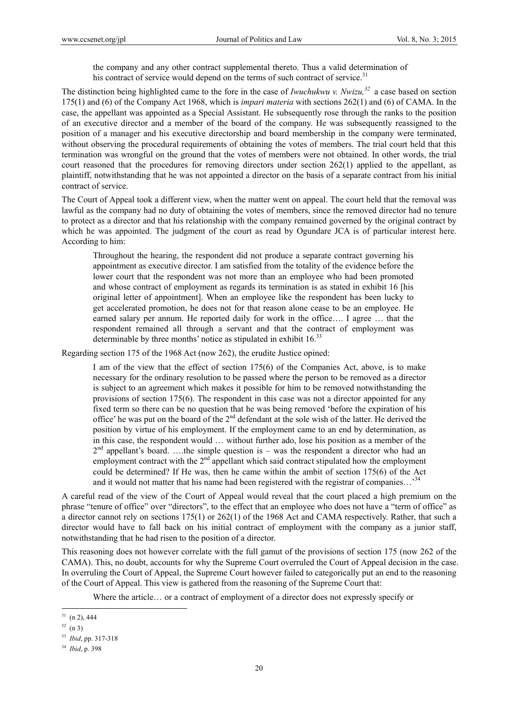the company and any other contract supplemental thereto. Thus a valid determination of his contract of service would depend on the terms of such contract of service.<sup>31</sup>

The distinction being highlighted came to the fore in the case of *Iwuchukwu v. Nwizu,32* a case based on section 175(1) and (6) of the Company Act 1968, which is *impari materia* with sections 262(1) and (6) of CAMA. In the case, the appellant was appointed as a Special Assistant. He subsequently rose through the ranks to the position of an executive director and a member of the board of the company. He was subsequently reassigned to the position of a manager and his executive directorship and board membership in the company were terminated, without observing the procedural requirements of obtaining the votes of members. The trial court held that this termination was wrongful on the ground that the votes of members were not obtained. In other words, the trial court reasoned that the procedures for removing directors under section 262(1) applied to the appellant, as plaintiff, notwithstanding that he was not appointed a director on the basis of a separate contract from his initial contract of service.

The Court of Appeal took a different view, when the matter went on appeal. The court held that the removal was lawful as the company had no duty of obtaining the votes of members, since the removed director had no tenure to protect as a director and that his relationship with the company remained governed by the original contract by which he was appointed. The judgment of the court as read by Ogundare JCA is of particular interest here. According to him:

Throughout the hearing, the respondent did not produce a separate contract governing his appointment as executive director. I am satisfied from the totality of the evidence before the lower court that the respondent was not more than an employee who had been promoted and whose contract of employment as regards its termination is as stated in exhibit 16 [his original letter of appointment]. When an employee like the respondent has been lucky to get accelerated promotion, he does not for that reason alone cease to be an employee. He earned salary per annum. He reported daily for work in the office…. I agree … that the respondent remained all through a servant and that the contract of employment was determinable by three months' notice as stipulated in exhibit  $16<sup>33</sup>$ 

Regarding section 175 of the 1968 Act (now 262), the erudite Justice opined:

I am of the view that the effect of section 175(6) of the Companies Act, above, is to make necessary for the ordinary resolution to be passed where the person to be removed as a director is subject to an agreement which makes it possible for him to be removed notwithstanding the provisions of section 175(6). The respondent in this case was not a director appointed for any fixed term so there can be no question that he was being removed 'before the expiration of his office' he was put on the board of the  $2<sup>nd</sup>$  defendant at the sole wish of the latter. He derived the position by virtue of his employment. If the employment came to an end by determination, as in this case, the respondent would … without further ado, lose his position as a member of the  $2<sup>nd</sup>$  appellant's board. ...the simple question is – was the respondent a director who had an employment contract with the  $2<sup>nd</sup>$  appellant which said contract stipulated how the employment could be determined? If He was, then he came within the ambit of section 175(6) of the Act and it would not matter that his name had been registered with the registrar of companies...<sup>34</sup>

A careful read of the view of the Court of Appeal would reveal that the court placed a high premium on the phrase "tenure of office" over "directors", to the effect that an employee who does not have a "term of office" as a director cannot rely on sections 175(1) or 262(1) of the 1968 Act and CAMA respectively. Rather, that such a director would have to fall back on his initial contract of employment with the company as a junior staff, notwithstanding that he had risen to the position of a director.

This reasoning does not however correlate with the full gamut of the provisions of section 175 (now 262 of the CAMA). This, no doubt, accounts for why the Supreme Court overruled the Court of Appeal decision in the case. In overruling the Court of Appeal, the Supreme Court however failed to categorically put an end to the reasoning of the Court of Appeal. This view is gathered from the reasoning of the Supreme Court that:

Where the article… or a contract of employment of a director does not expressly specify or

 $31$  (n 2), 444

 $32 (n 3)$ 

<sup>33</sup> *Ibid*, pp. 317-318

<sup>34</sup> *Ibid*, p. 398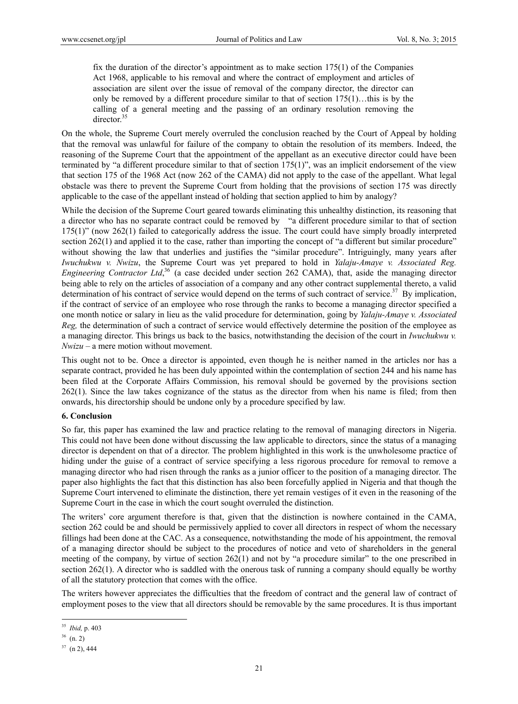fix the duration of the director's appointment as to make section 175(1) of the Companies Act 1968, applicable to his removal and where the contract of employment and articles of association are silent over the issue of removal of the company director, the director can only be removed by a different procedure similar to that of section 175(1)…this is by the calling of a general meeting and the passing of an ordinary resolution removing the director.<sup>35</sup>

On the whole, the Supreme Court merely overruled the conclusion reached by the Court of Appeal by holding that the removal was unlawful for failure of the company to obtain the resolution of its members. Indeed, the reasoning of the Supreme Court that the appointment of the appellant as an executive director could have been terminated by "a different procedure similar to that of section 175(1)", was an implicit endorsement of the view that section 175 of the 1968 Act (now 262 of the CAMA) did not apply to the case of the appellant. What legal obstacle was there to prevent the Supreme Court from holding that the provisions of section 175 was directly applicable to the case of the appellant instead of holding that section applied to him by analogy?

While the decision of the Supreme Court geared towards eliminating this unhealthy distinction, its reasoning that a director who has no separate contract could be removed by "a different procedure similar to that of section 175(1)" (now 262(1) failed to categorically address the issue. The court could have simply broadly interpreted section 262(1) and applied it to the case, rather than importing the concept of "a different but similar procedure" without showing the law that underlies and justifies the "similar procedure". Intriguingly, many years after *Iwuchukwu v. Nwizu*, the Supreme Court was yet prepared to hold in *Yalaju-Amaye v. Associated Reg. Engineering Contractor Ltd*, 36 (a case decided under section 262 CAMA), that, aside the managing director being able to rely on the articles of association of a company and any other contract supplemental thereto, a valid determination of his contract of service would depend on the terms of such contract of service. $37\,$  By implication, if the contract of service of an employee who rose through the ranks to become a managing director specified a one month notice or salary in lieu as the valid procedure for determination, going by *Yalaju-Amaye v. Associated Reg,* the determination of such a contract of service would effectively determine the position of the employee as a managing director. This brings us back to the basics, notwithstanding the decision of the court in *Iwuchukwu v. Nwizu –* a mere motion without movement.

This ought not to be. Once a director is appointed, even though he is neither named in the articles nor has a separate contract, provided he has been duly appointed within the contemplation of section 244 and his name has been filed at the Corporate Affairs Commission, his removal should be governed by the provisions section 262(1). Since the law takes cognizance of the status as the director from when his name is filed; from then onwards, his directorship should be undone only by a procedure specified by law.

## **6. Conclusion**

So far, this paper has examined the law and practice relating to the removal of managing directors in Nigeria. This could not have been done without discussing the law applicable to directors, since the status of a managing director is dependent on that of a director. The problem highlighted in this work is the unwholesome practice of hiding under the guise of a contract of service specifying a less rigorous procedure for removal to remove a managing director who had risen through the ranks as a junior officer to the position of a managing director. The paper also highlights the fact that this distinction has also been forcefully applied in Nigeria and that though the Supreme Court intervened to eliminate the distinction, there yet remain vestiges of it even in the reasoning of the Supreme Court in the case in which the court sought overruled the distinction.

The writers' core argument therefore is that, given that the distinction is nowhere contained in the CAMA, section 262 could be and should be permissively applied to cover all directors in respect of whom the necessary fillings had been done at the CAC. As a consequence, notwithstanding the mode of his appointment, the removal of a managing director should be subject to the procedures of notice and veto of shareholders in the general meeting of the company, by virtue of section 262(1) and not by "a procedure similar" to the one prescribed in section 262(1). A director who is saddled with the onerous task of running a company should equally be worthy of all the statutory protection that comes with the office.

The writers however appreciates the difficulties that the freedom of contract and the general law of contract of employment poses to the view that all directors should be removable by the same procedures. It is thus important

 $\overline{a}$ <sup>35</sup> *Ibid,* p. 403

 $36$  (n. 2)

 $37$  (n 2), 444